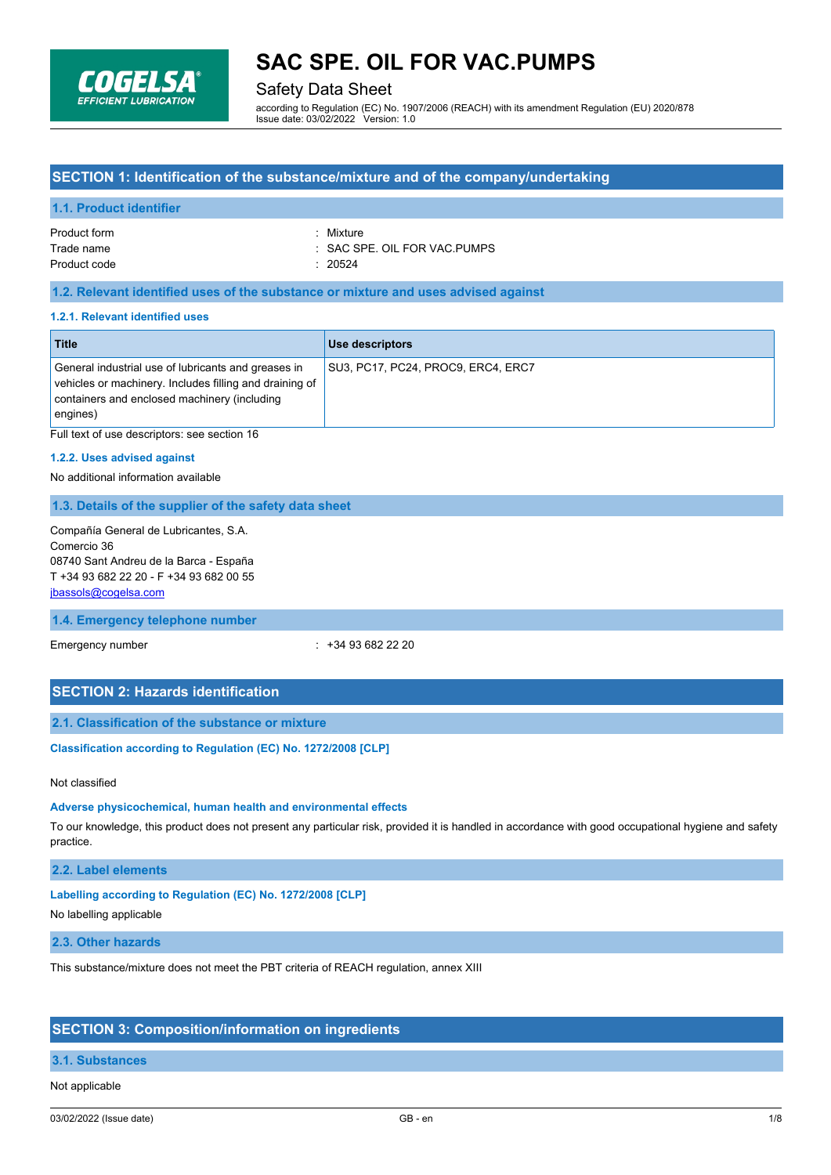

## Safety Data Sheet

according to Regulation (EC) No. 1907/2006 (REACH) with its amendment Regulation (EU) 2020/878 Issue date: 03/02/2022 Version: 1.0

## **SECTION 1: Identification of the substance/mixture and of the company/undertaking**

#### **1.1. Product identifier**

| Product form | · Mixture                    |
|--------------|------------------------------|
| Trade name   | : SAC SPE. OIL FOR VAC PUMPS |
| Product code | : 20524                      |

### **1.2. Relevant identified uses of the substance or mixture and uses advised against**

#### **1.2.1. Relevant identified uses**

| <b>Title</b>                                                                                                                                                                   | Use descriptors                    |
|--------------------------------------------------------------------------------------------------------------------------------------------------------------------------------|------------------------------------|
| General industrial use of lubricants and greases in<br>vehicles or machinery. Includes filling and draining of<br>containers and enclosed machinery (including<br>$ $ engines) | SU3, PC17, PC24, PROC9, ERC4, ERC7 |

Full text of use descriptors: see section 16

#### **1.2.2. Uses advised against**

No additional information available

#### **1.3. Details of the supplier of the safety data sheet**

Compañía General de Lubricantes, S.A. Comercio 36 08740 Sant Andreu de la Barca - España T +34 93 682 22 20 - F +34 93 682 00 55 [jbassols@cogelsa.com](mailto:jbassols@cogelsa.com)

#### **1.4. Emergency telephone number**

Emergency number : +34 93 682 22 20

### **SECTION 2: Hazards identification**

#### **2.1. Classification of the substance or mixture**

#### **Classification according to Regulation (EC) No. 1272/2008 [CLP]**

#### Not classified

### **Adverse physicochemical, human health and environmental effects**

To our knowledge, this product does not present any particular risk, provided it is handled in accordance with good occupational hygiene and safety practice.

## **2.2. Label elements**

## **Labelling according to Regulation (EC) No. 1272/2008 [CLP]**

No labelling applicable

### **2.3. Other hazards**

This substance/mixture does not meet the PBT criteria of REACH regulation, annex XIII

## **SECTION 3: Composition/information on ingredients**

### **3.1. Substances**

#### Not applicable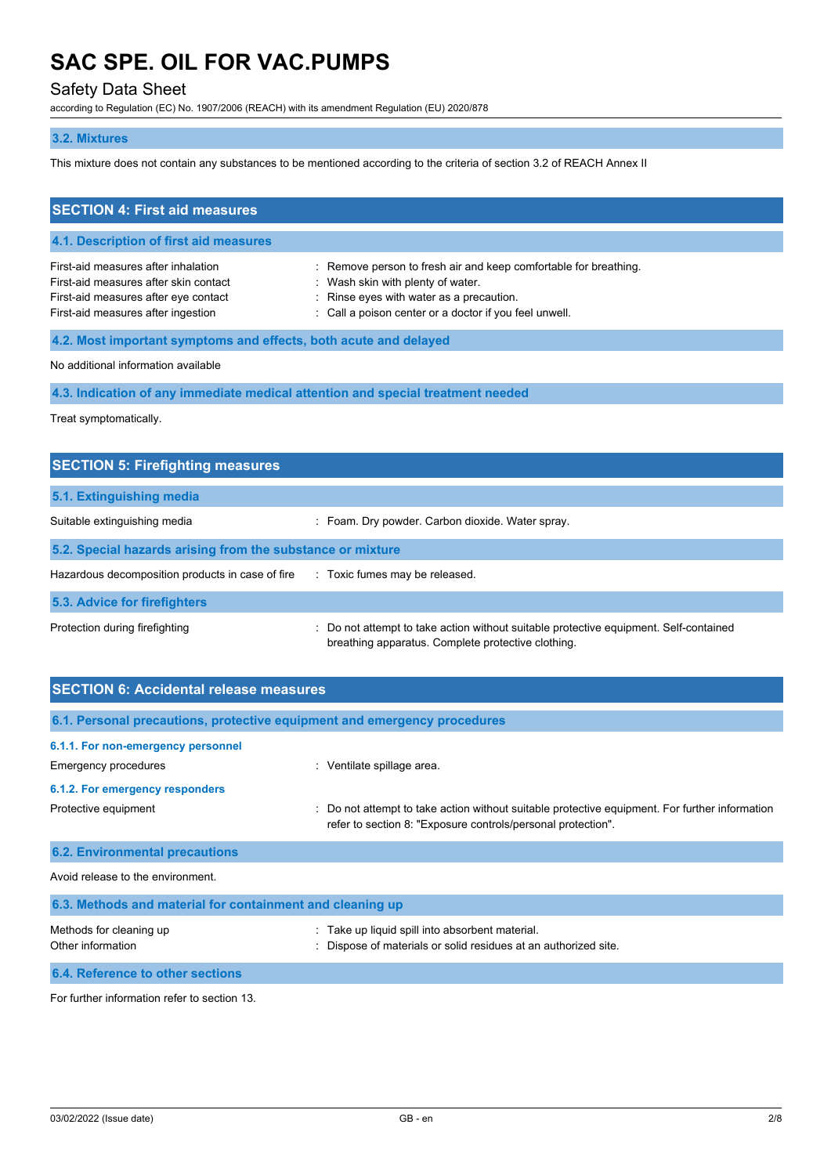## Safety Data Sheet

according to Regulation (EC) No. 1907/2006 (REACH) with its amendment Regulation (EU) 2020/878

## **3.2. Mixtures**

This mixture does not contain any substances to be mentioned according to the criteria of section 3.2 of REACH Annex II

| <b>SECTION 4: First aid measures</b>                                                                                                                       |                                                                                                                                                                                                             |  |
|------------------------------------------------------------------------------------------------------------------------------------------------------------|-------------------------------------------------------------------------------------------------------------------------------------------------------------------------------------------------------------|--|
| 4.1. Description of first aid measures                                                                                                                     |                                                                                                                                                                                                             |  |
| First-aid measures after inhalation<br>First-aid measures after skin contact<br>First-aid measures after eye contact<br>First-aid measures after ingestion | : Remove person to fresh air and keep comfortable for breathing.<br>: Wash skin with plenty of water.<br>: Rinse eyes with water as a precaution.<br>: Call a poison center or a doctor if you feel unwell. |  |
| 4.2. Most important symptoms and effects, both acute and delayed                                                                                           |                                                                                                                                                                                                             |  |
| No additional information available                                                                                                                        |                                                                                                                                                                                                             |  |
|                                                                                                                                                            | 4.3. Indication of any immediate medical attention and special treatment needed                                                                                                                             |  |

Treat symptomatically.

| <b>SECTION 5: Firefighting measures</b>                    |                                                                                                                                           |
|------------------------------------------------------------|-------------------------------------------------------------------------------------------------------------------------------------------|
| 5.1. Extinguishing media                                   |                                                                                                                                           |
| Suitable extinguishing media                               | : Foam. Dry powder. Carbon dioxide. Water spray.                                                                                          |
| 5.2. Special hazards arising from the substance or mixture |                                                                                                                                           |
| Hazardous decomposition products in case of fire           | : Toxic fumes may be released.                                                                                                            |
| 5.3. Advice for firefighters                               |                                                                                                                                           |
| Protection during firefighting                             | Do not attempt to take action without suitable protective equipment. Self-contained<br>breathing apparatus. Complete protective clothing. |

| <b>SECTION 6: Accidental release measures</b>             |                                                                                                                                                                |  |
|-----------------------------------------------------------|----------------------------------------------------------------------------------------------------------------------------------------------------------------|--|
|                                                           | 6.1. Personal precautions, protective equipment and emergency procedures                                                                                       |  |
| 6.1.1. For non-emergency personnel                        |                                                                                                                                                                |  |
| Emergency procedures                                      | : Ventilate spillage area.                                                                                                                                     |  |
| 6.1.2. For emergency responders                           |                                                                                                                                                                |  |
| Protective equipment                                      | : Do not attempt to take action without suitable protective equipment. For further information<br>refer to section 8: "Exposure controls/personal protection". |  |
| <b>6.2. Environmental precautions</b>                     |                                                                                                                                                                |  |
| Avoid release to the environment                          |                                                                                                                                                                |  |
| 6.3. Methods and material for containment and cleaning up |                                                                                                                                                                |  |
| Methods for cleaning up<br>Other information              | Take up liquid spill into absorbent material.<br>Dispose of materials or solid residues at an authorized site.                                                 |  |
| 6.4. Reference to other sections                          |                                                                                                                                                                |  |

For further information refer to section 13.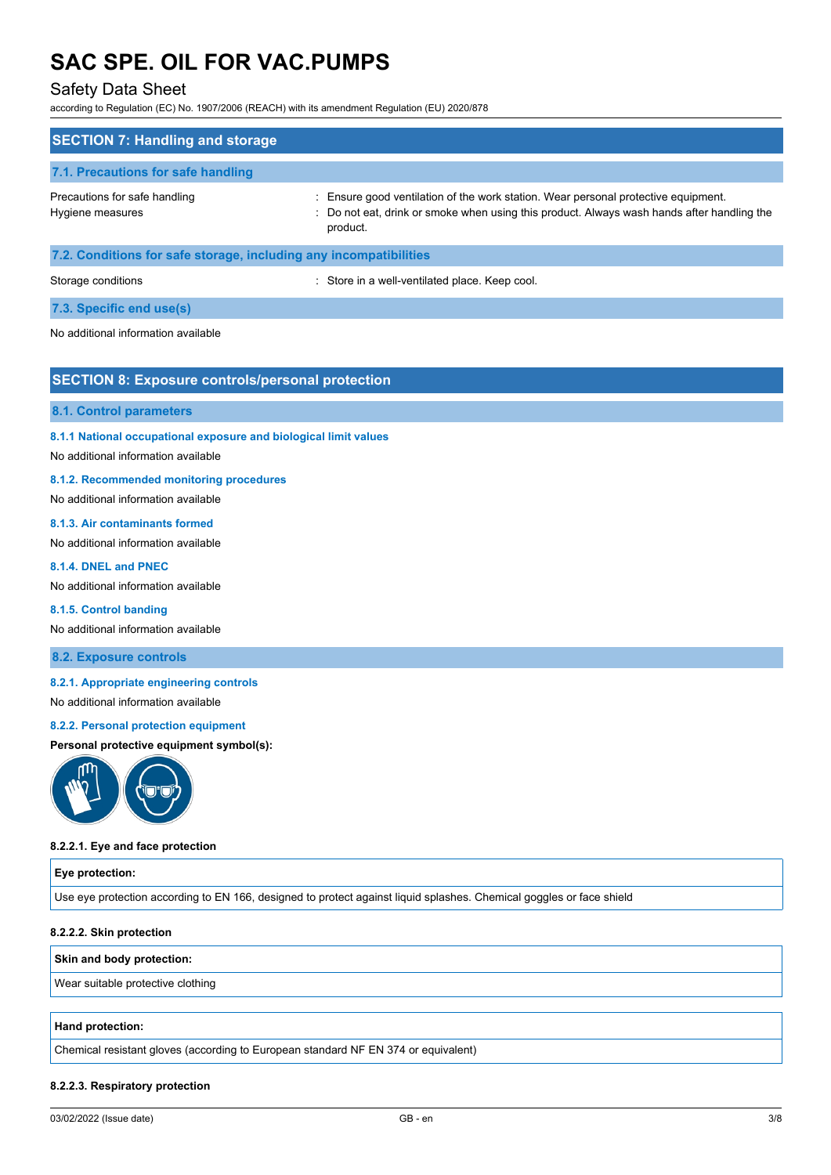## Safety Data Sheet

according to Regulation (EC) No. 1907/2006 (REACH) with its amendment Regulation (EU) 2020/878

| <b>SECTION 7: Handling and storage</b>                            |                                                                                                                                                                                              |
|-------------------------------------------------------------------|----------------------------------------------------------------------------------------------------------------------------------------------------------------------------------------------|
| 7.1. Precautions for safe handling                                |                                                                                                                                                                                              |
| Precautions for safe handling<br>Hygiene measures                 | : Ensure good ventilation of the work station. Wear personal protective equipment.<br>: Do not eat, drink or smoke when using this product. Always wash hands after handling the<br>product. |
| 7.2. Conditions for safe storage, including any incompatibilities |                                                                                                                                                                                              |
| Storage conditions                                                | : Store in a well-ventilated place. Keep cool.                                                                                                                                               |

#### **7.3. Specific end use(s)**

No additional information available

## **SECTION 8: Exposure controls/personal protection**

#### **8.1. Control parameters**

**8.1.1 National occupational exposure and biological limit values**

#### No additional information available

#### **8.1.2. Recommended monitoring procedures**

No additional information available

#### **8.1.3. Air contaminants formed**

No additional information available

#### **8.1.4. DNEL and PNEC**

No additional information available

#### **8.1.5. Control banding**

No additional information available

#### **8.2. Exposure controls**

#### **8.2.1. Appropriate engineering controls**

No additional information available

#### **8.2.2. Personal protection equipment**

#### **Personal protective equipment symbol(s):**



#### **8.2.2.1. Eye and face protection**

#### **Eye protection:**

Use eye protection according to EN 166, designed to protect against liquid splashes. Chemical goggles or face shield

#### **8.2.2.2. Skin protection**

#### **Skin and body protection:**

Wear suitable protective clothing

#### **Hand protection:**

Chemical resistant gloves (according to European standard NF EN 374 or equivalent)

#### **8.2.2.3. Respiratory protection**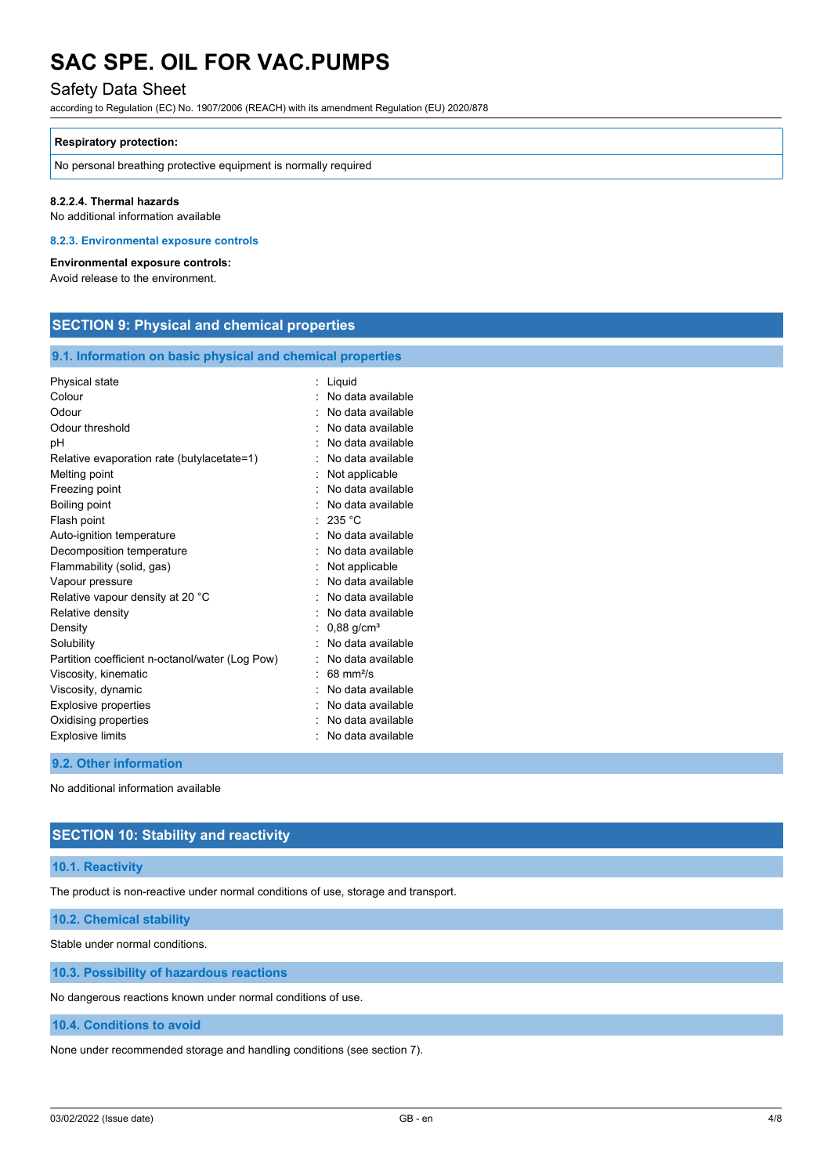## Safety Data Sheet

according to Regulation (EC) No. 1907/2006 (REACH) with its amendment Regulation (EU) 2020/878

#### **Respiratory protection:**

No personal breathing protective equipment is normally required

#### **8.2.2.4. Thermal hazards**

No additional information available

### **8.2.3. Environmental exposure controls**

**Environmental exposure controls:**

Avoid release to the environment.

## **SECTION 9: Physical and chemical properties**

#### **9.1. Information on basic physical and chemical properties**

| Physical state                                  | Liquid                   |
|-------------------------------------------------|--------------------------|
| Colour                                          | No data available        |
| Odour                                           | No data available        |
| Odour threshold                                 | No data available        |
| рH                                              | No data available        |
| Relative evaporation rate (butylacetate=1)      | No data available        |
| Melting point                                   | Not applicable           |
| Freezing point                                  | No data available        |
| Boiling point                                   | No data available        |
| Flash point                                     | 235 °C                   |
| Auto-ignition temperature                       | No data available        |
| Decomposition temperature                       | No data available        |
| Flammability (solid, gas)                       | Not applicable           |
| Vapour pressure                                 | No data available        |
| Relative vapour density at 20 °C                | No data available        |
| Relative density                                | No data available        |
| Density                                         | $0,88$ g/cm <sup>3</sup> |
| Solubility                                      | No data available        |
| Partition coefficient n-octanol/water (Log Pow) | No data available        |
| Viscosity, kinematic                            | $68 \text{ mm}^2$ /s     |
| Viscosity, dynamic                              | No data available        |
| <b>Explosive properties</b>                     | No data available        |
| Oxidising properties                            | No data available        |
| <b>Explosive limits</b>                         | No data available        |
|                                                 |                          |

#### **9.2. Other information**

No additional information available

## **SECTION 10: Stability and reactivity**

#### **10.1. Reactivity**

The product is non-reactive under normal conditions of use, storage and transport.

**10.2. Chemical stability**

Stable under normal conditions.

**10.3. Possibility of hazardous reactions**

No dangerous reactions known under normal conditions of use.

### **10.4. Conditions to avoid**

None under recommended storage and handling conditions (see section 7).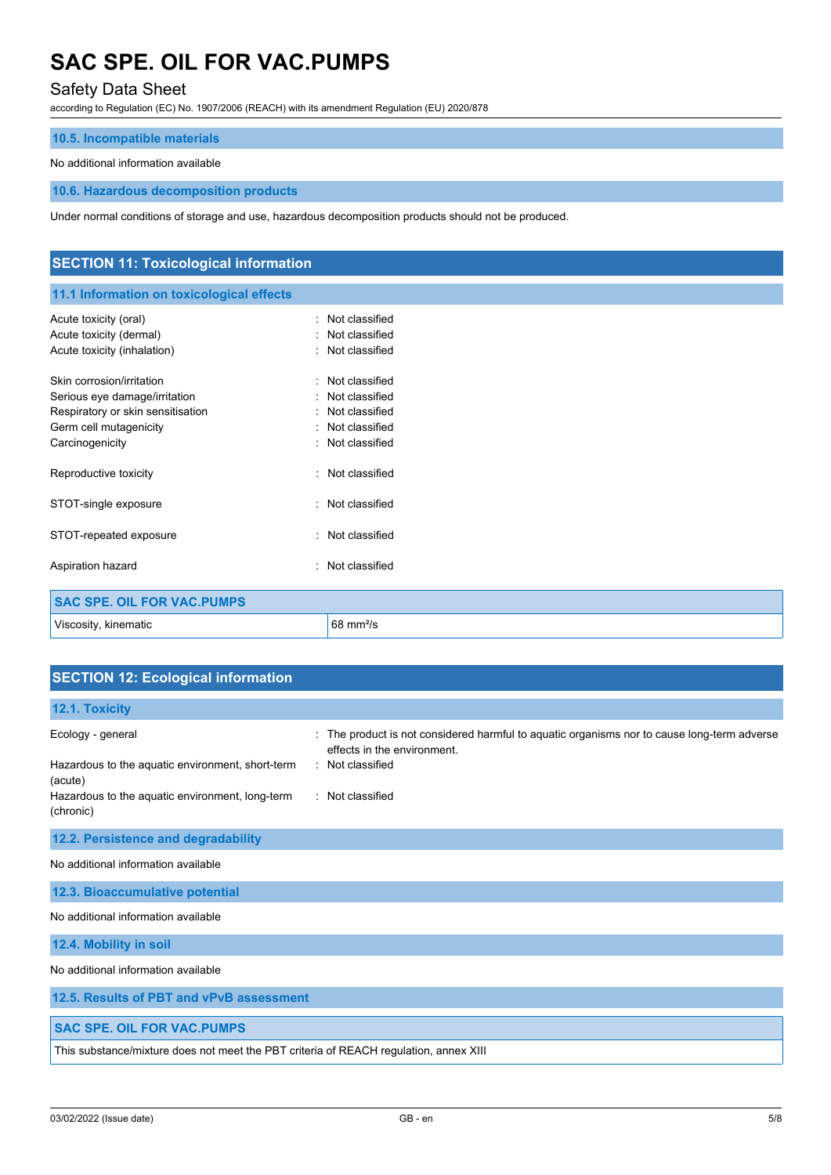## Safety Data Sheet

according to Regulation (EC) No. 1907/2006 (REACH) with its amendment Regulation (EU) 2020/878

### **10.5. Incompatible materials**

### No additional information available

#### **10.6. Hazardous decomposition products**

Under normal conditions of storage and use, hazardous decomposition products should not be produced.

| <b>SECTION 11: Toxicological information</b>                                                                                                 |                                                                                                                         |
|----------------------------------------------------------------------------------------------------------------------------------------------|-------------------------------------------------------------------------------------------------------------------------|
| 11.1 Information on toxicological effects                                                                                                    |                                                                                                                         |
| Acute toxicity (oral)<br>Acute toxicity (dermal)<br>Acute toxicity (inhalation)                                                              | Not classified<br>$\bullet$<br>Not classified<br>٠<br>Not classified<br>$\bullet$                                       |
| Skin corrosion/irritation<br>Serious eye damage/irritation<br>Respiratory or skin sensitisation<br>Germ cell mutagenicity<br>Carcinogenicity | Not classified<br>٠<br>Not classified<br>٠<br>Not classified<br>$\bullet$<br>Not classified<br>٠<br>Not classified<br>٠ |
| Reproductive toxicity                                                                                                                        | Not classified<br>$\bullet$                                                                                             |
| STOT-single exposure                                                                                                                         | Not classified<br>٠                                                                                                     |
| STOT-repeated exposure                                                                                                                       | Not classified<br>$\bullet$                                                                                             |
| Aspiration hazard                                                                                                                            | Not classified<br>$\bullet$                                                                                             |
| <b>SAC SPE. OIL FOR VAC. PUMPS</b>                                                                                                           |                                                                                                                         |
| Viscosity, kinematic                                                                                                                         | $68 \text{ mm}^2/\text{s}$                                                                                              |

## **SECTION 12: Ecological information**

| 12.1. Toxicity                                                                                                                                   |                                                                                                                                                                  |
|--------------------------------------------------------------------------------------------------------------------------------------------------|------------------------------------------------------------------------------------------------------------------------------------------------------------------|
| Ecology - general<br>Hazardous to the aquatic environment, short-term<br>(acute)<br>Hazardous to the aquatic environment, long-term<br>(chronic) | The product is not considered harmful to aquatic organisms nor to cause long-term adverse<br>effects in the environment.<br>: Not classified<br>: Not classified |
| 12.2. Persistence and degradability                                                                                                              |                                                                                                                                                                  |
| No additional information available                                                                                                              |                                                                                                                                                                  |
| 12.3. Bioaccumulative potential                                                                                                                  |                                                                                                                                                                  |
| No additional information available                                                                                                              |                                                                                                                                                                  |
| 12.4. Mobility in soil                                                                                                                           |                                                                                                                                                                  |
| No additional information available                                                                                                              |                                                                                                                                                                  |
| 12.5. Results of PBT and vPvB assessment                                                                                                         |                                                                                                                                                                  |

## **SAC SPE. OIL FOR VAC.PUMPS**

This substance/mixture does not meet the PBT criteria of REACH regulation, annex XIII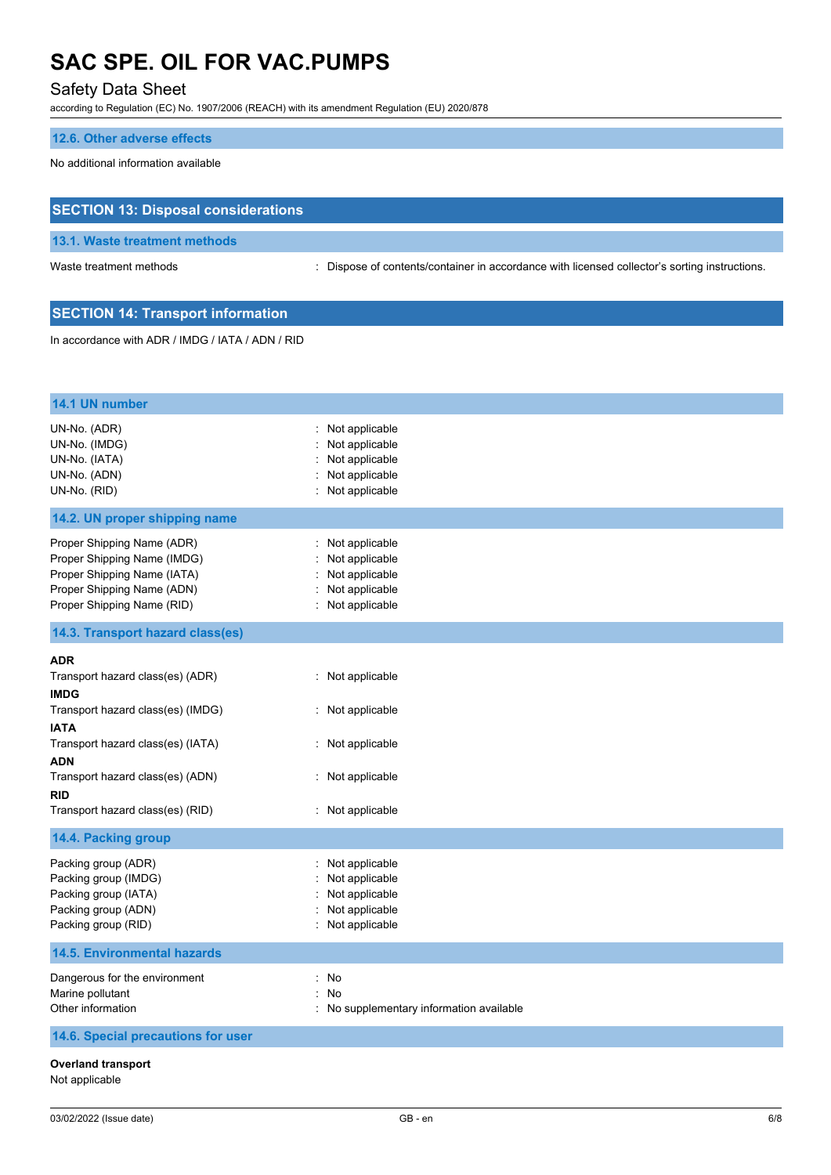## Safety Data Sheet

according to Regulation (EC) No. 1907/2006 (REACH) with its amendment Regulation (EU) 2020/878

### **12.6. Other adverse effects**

No additional information available

## **SECTION 13: Disposal considerations**

**13.1. Waste treatment methods**

Waste treatment methods : Dispose of contents/container in accordance with licensed collector's sorting instructions.

## **SECTION 14: Transport information**

In accordance with ADR / IMDG / IATA / ADN / RID

| 14.1 UN number                                                                                                                                       |                                                                                                                           |
|------------------------------------------------------------------------------------------------------------------------------------------------------|---------------------------------------------------------------------------------------------------------------------------|
|                                                                                                                                                      |                                                                                                                           |
| UN-No. (ADR)<br>UN-No. (IMDG)<br>UN-No. (IATA)<br>UN-No. (ADN)<br>UN-No. (RID)                                                                       | : Not applicable<br>Not applicable<br>Not applicable<br>Not applicable<br>$\mathcal{C}^{\mathcal{C}}$<br>: Not applicable |
| 14.2. UN proper shipping name                                                                                                                        |                                                                                                                           |
| Proper Shipping Name (ADR)<br>Proper Shipping Name (IMDG)<br>Proper Shipping Name (IATA)<br>Proper Shipping Name (ADN)<br>Proper Shipping Name (RID) | : Not applicable<br>Not applicable<br>Not applicable<br>Not applicable<br>: Not applicable                                |
| 14.3. Transport hazard class(es)                                                                                                                     |                                                                                                                           |
| <b>ADR</b>                                                                                                                                           |                                                                                                                           |
| Transport hazard class(es) (ADR)                                                                                                                     | : Not applicable                                                                                                          |
| <b>IMDG</b>                                                                                                                                          |                                                                                                                           |
| Transport hazard class(es) (IMDG)<br><b>IATA</b>                                                                                                     | : Not applicable                                                                                                          |
| Transport hazard class(es) (IATA)                                                                                                                    | : Not applicable                                                                                                          |
| ADN                                                                                                                                                  |                                                                                                                           |
| Transport hazard class(es) (ADN)<br><b>RID</b>                                                                                                       | : Not applicable                                                                                                          |
| Transport hazard class(es) (RID)                                                                                                                     | : Not applicable                                                                                                          |
| 14.4. Packing group                                                                                                                                  |                                                                                                                           |
| Packing group (ADR)<br>Packing group (IMDG)<br>Packing group (IATA)<br>Packing group (ADN)<br>Packing group (RID)                                    | : Not applicable<br>Not applicable<br>Not applicable<br>Not applicable<br>: Not applicable                                |
| <b>14.5. Environmental hazards</b>                                                                                                                   |                                                                                                                           |
| Dangerous for the environment<br>Marine pollutant<br>Other information                                                                               | : No<br>No<br>t.<br>: No supplementary information available                                                              |
| 14.6. Special precautions for user                                                                                                                   |                                                                                                                           |
| <b>Overland transport</b><br>Not applicable                                                                                                          |                                                                                                                           |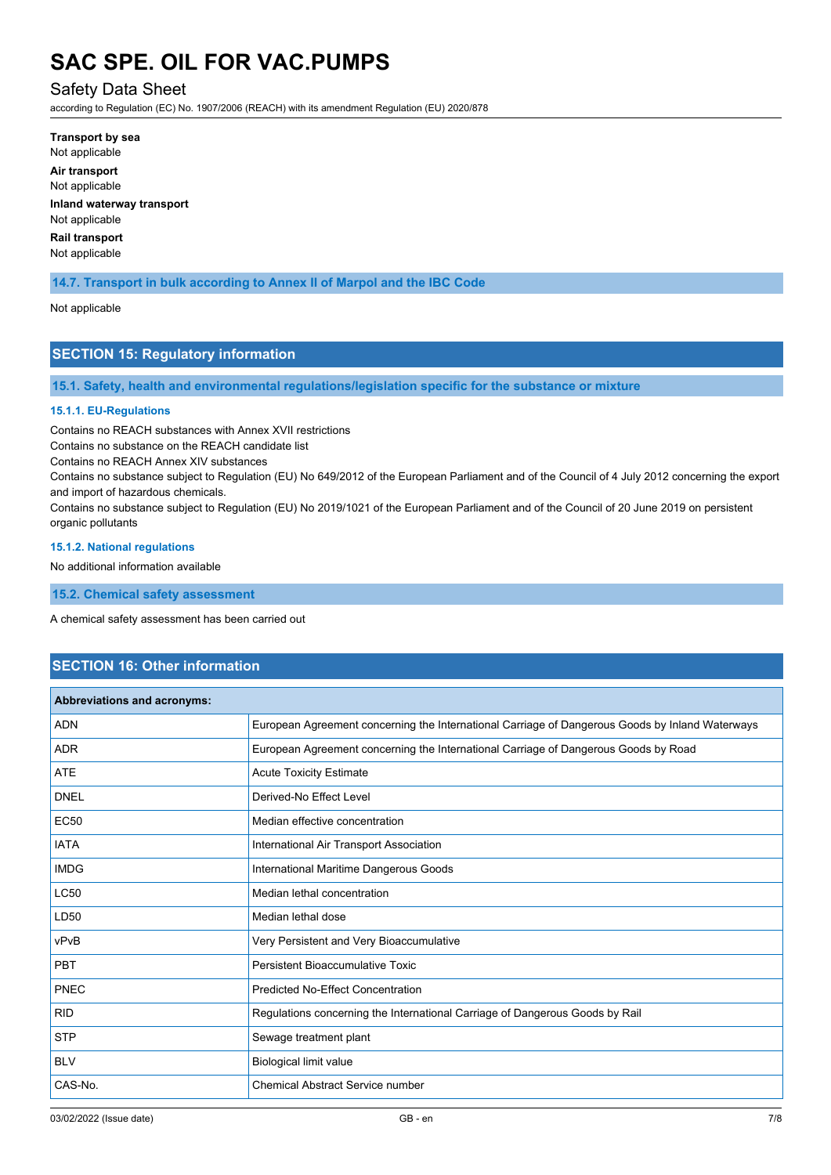## Safety Data Sheet

according to Regulation (EC) No. 1907/2006 (REACH) with its amendment Regulation (EU) 2020/878

**Transport by sea** Not applicable **Air transport** Not applicable **Inland waterway transport** Not applicable **Rail transport** Not applicable

## **14.7. Transport in bulk according to Annex II of Marpol and the IBC Code**

#### Not applicable

## **SECTION 15: Regulatory information**

**15.1. Safety, health and environmental regulations/legislation specific for the substance or mixture**

#### **15.1.1. EU-Regulations**

Contains no REACH substances with Annex XVII restrictions

Contains no substance on the REACH candidate list

Contains no REACH Annex XIV substances

Contains no substance subject to Regulation (EU) No 649/2012 of the European Parliament and of the Council of 4 July 2012 concerning the export and import of hazardous chemicals.

Contains no substance subject to Regulation (EU) No 2019/1021 of the European Parliament and of the Council of 20 June 2019 on persistent organic pollutants

#### **15.1.2. National regulations**

No additional information available

**15.2. Chemical safety assessment**

A chemical safety assessment has been carried out

## **SECTION 16: Other information**

| Abbreviations and acronyms: |                                                                                                 |
|-----------------------------|-------------------------------------------------------------------------------------------------|
| <b>ADN</b>                  | European Agreement concerning the International Carriage of Dangerous Goods by Inland Waterways |
| <b>ADR</b>                  | European Agreement concerning the International Carriage of Dangerous Goods by Road             |
| <b>ATE</b>                  | <b>Acute Toxicity Estimate</b>                                                                  |
| <b>DNEL</b>                 | Derived-No Effect Level                                                                         |
| <b>EC50</b>                 | Median effective concentration                                                                  |
| <b>IATA</b>                 | International Air Transport Association                                                         |
| <b>IMDG</b>                 | International Maritime Dangerous Goods                                                          |
| <b>LC50</b>                 | Median lethal concentration                                                                     |
| LD50                        | Median lethal dose                                                                              |
| vPvB                        | Very Persistent and Very Bioaccumulative                                                        |
| <b>PBT</b>                  | Persistent Bioaccumulative Toxic                                                                |
| <b>PNEC</b>                 | <b>Predicted No-Effect Concentration</b>                                                        |
| <b>RID</b>                  | Regulations concerning the International Carriage of Dangerous Goods by Rail                    |
| <b>STP</b>                  | Sewage treatment plant                                                                          |
| <b>BLV</b>                  | Biological limit value                                                                          |
| CAS-No.                     | <b>Chemical Abstract Service number</b>                                                         |